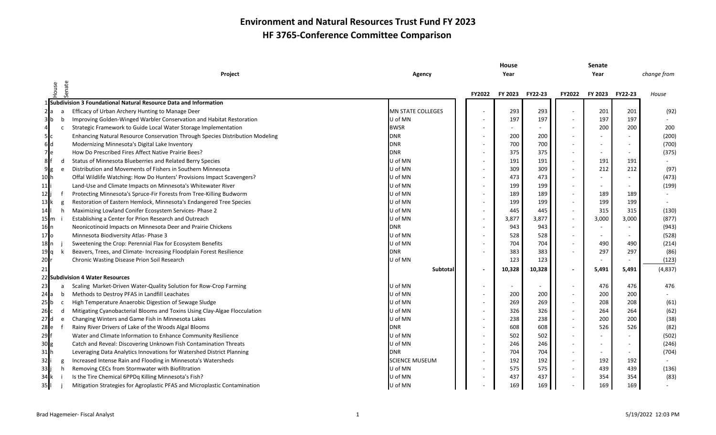|                |                |                                                                               |                          |                          | House          |                |                          | Senate  |         |             |
|----------------|----------------|-------------------------------------------------------------------------------|--------------------------|--------------------------|----------------|----------------|--------------------------|---------|---------|-------------|
|                |                | Project                                                                       | Agency                   |                          | Year           |                |                          | Year    |         | change from |
|                | enate<br>House |                                                                               |                          |                          |                |                |                          |         |         |             |
|                |                |                                                                               |                          | FY2022                   | <b>FY 2023</b> | <b>FY22-23</b> | <b>FY2022</b>            | FY 2023 | FY22-23 | House       |
|                |                | 1 Subdivision 3 Foundational Natural Resource Data and Information            |                          |                          |                |                |                          |         |         |             |
| 2 a            |                | Efficacy of Urban Archery Hunting to Manage Deer                              | <b>MN STATE COLLEGES</b> |                          | 293            | 293            |                          | 201     | 201     | (92)        |
| 3 b            | b              | Improving Golden-Winged Warbler Conservation and Habitat Restoration          | U of MN                  |                          | 197            | 197            |                          | 197     | 197     |             |
| $\overline{4}$ |                | Strategic Framework to Guide Local Water Storage Implementation               | <b>BWSR</b>              |                          |                |                | $\blacksquare$           | 200     | 200     | 200         |
| 5c             |                | Enhancing Natural Resource Conservation Through Species Distribution Modeling | <b>DNR</b>               |                          | 200            | 200            | $\overline{\phantom{a}}$ |         |         | (200)       |
| 6d             |                | Modernizing Minnesota's Digital Lake Inventory                                | <b>DNR</b>               |                          | 700            | 700            | $\sim$                   |         |         | (700)       |
| 7 <sub>e</sub> |                | How Do Prescribed Fires Affect Native Prairie Bees?                           | <b>DNR</b>               |                          | 375            | 375            | $\sim$                   |         |         | (375)       |
| 8              | d              | Status of Minnesota Blueberries and Related Berry Species                     | U of MN                  |                          | 191            | 191            | $\sim$                   | 191     | 191     |             |
| 9g             | e              | Distribution and Movements of Fishers in Southern Minnesota                   | U of MN                  | $\overline{\phantom{a}}$ | 309            | 309            | $\overline{\phantom{a}}$ | 212     | 212     | (97)        |
| 10 h           |                | Offal Wildlife Watching: How Do Hunters' Provisions Impact Scavengers?        | U of MN                  |                          | 473            | 473            | $\sim$                   |         |         | (473)       |
| 11             |                | Land-Use and Climate Impacts on Minnesota's Whitewater River                  | U of MN                  |                          | 199            | 199            | $\blacksquare$           |         |         | (199)       |
| 12             |                | Protecting Minnesota's Spruce-Fir Forests from Tree-Killing Budworm           | U of MN                  |                          | 189            | 189            | $\blacksquare$           | 189     | 189     |             |
| 13 I k         |                | Restoration of Eastern Hemlock, Minnesota's Endangered Tree Species           | U of MN                  |                          | 199            | 199            | $\overline{\phantom{a}}$ | 199     | 199     |             |
| 14             | h.             | Maximizing Lowland Conifer Ecosystem Services- Phase 2                        | U of MN                  |                          | 445            | 445            | $\sim$                   | 315     | 315     | (130)       |
| 15   m i       |                | Establishing a Center for Prion Research and Outreach                         | U of MN                  |                          | 3,877          | 3,877          | $\overline{\phantom{a}}$ | 3,000   | 3,000   | (877)       |
| 16 n           |                | Neonicotinoid Impacts on Minnesota Deer and Prairie Chickens                  | <b>DNR</b>               |                          | 943            | 943            | $\sim$                   |         |         | (943)       |
| 17 Io          |                | Minnesota Biodiversity Atlas- Phase 3                                         | U of MN                  |                          | 528            | 528            | $\sim$                   | $\sim$  |         | (528)       |
|                |                | Sweetening the Crop: Perennial Flax for Ecosystem Benefits                    | U of MN                  |                          | 704            | 704            | $\blacksquare$           | 490     | 490     | (214)       |
| 19 q           |                | Beavers, Trees, and Climate- Increasing Floodplain Forest Resilience          | <b>DNR</b>               |                          | 383            | 383            | $\blacksquare$           | 297     | 297     | (86)        |
| $20$ r         |                | Chronic Wasting Disease Prion Soil Research                                   | U of MN                  |                          | 123            | 123            |                          |         |         | (123)       |
|                |                |                                                                               | Subtotal                 |                          | 10,328         | 10,328         | $\blacksquare$           | 5,491   | 5,491   | (4,837)     |
|                |                | 22 Subdivision 4 Water Resources                                              |                          |                          |                |                |                          |         |         |             |
| 23             |                | Scaling Market-Driven Water-Quality Solution for Row-Crop Farming             | U of MN                  |                          |                |                | $\overline{\phantom{a}}$ | 476     | 476     | 476         |
| 24 Ja          | b              | Methods to Destroy PFAS in Landfill Leachates                                 | U of MN                  |                          | 200            | 200            | $\blacksquare$           | 200     | 200     |             |
| 25 <b>b</b>    | C              | High Temperature Anaerobic Digestion of Sewage Sludge                         | U of MN                  |                          | 269            | 269            | $\sim$                   | 208     | 208     | (61)        |
| 26 c           | d              | Mitigating Cyanobacterial Blooms and Toxins Using Clay-Algae Flocculation     | U of MN                  |                          | 326            | 326            | $\overline{\phantom{a}}$ | 264     | 264     | (62)        |
| 27 d           | e              | Changing Winters and Game Fish in Minnesota Lakes                             | U of MN                  |                          | 238            | 238            | $\overline{\phantom{a}}$ | 200     | 200     | (38)        |
| 28 le          |                | Rainy River Drivers of Lake of the Woods Algal Blooms                         | <b>DNR</b>               |                          | 608            | 608            | $\sim$                   | 526     | 526     | (82)        |
| $29$ f         |                | Water and Climate Information to Enhance Community Resilience                 | U of MN                  |                          | 502            | 502            | $\sim$                   |         |         | (502)       |
|                |                | Catch and Reveal: Discovering Unknown Fish Contamination Threats              | U of MN                  |                          | 246            | 246            | $\overline{\phantom{a}}$ |         |         | (246)       |
| 31 lh          |                | Leveraging Data Analytics Innovations for Watershed District Planning         | <b>DNR</b>               |                          | 704            | 704            | $\overline{\phantom{a}}$ |         |         | (704)       |
| 32             |                | Increased Intense Rain and Flooding in Minnesota's Watersheds                 | SCIENCE MUSEUM           |                          | 192            | 192            | $\blacksquare$           | 192     | 192     |             |
| 33             | h.             | Removing CECs from Stormwater with Biofiltration                              | U of MN                  |                          | 575            | 575            | $\overline{\phantom{a}}$ | 439     | 439     | (136)       |
| 34 k           |                | Is the Tire Chemical 6PPDq Killing Minnesota's Fish?                          | U of MN                  |                          | 437            | 437            | $\sim$                   | 354     | 354     | (83)        |
| 35II           |                | Mitigation Strategies for Agroplastic PFAS and Microplastic Contamination     | U of MN                  |                          | 169            | 169            |                          | 169     | 169     |             |
|                |                |                                                                               |                          |                          |                |                |                          |         |         |             |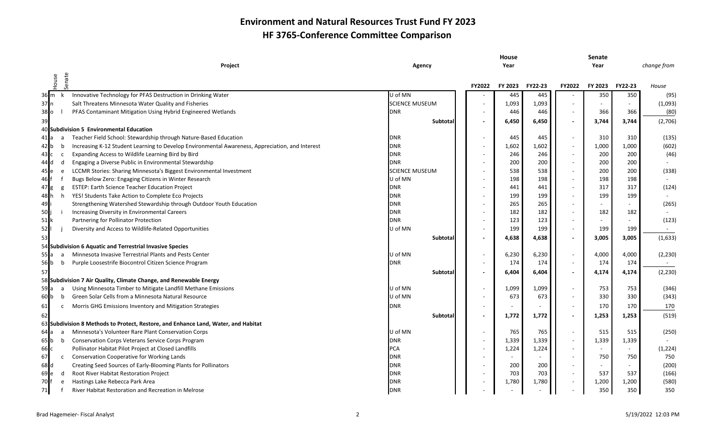|                                       |                |                                                                                                 |                       |                          | House          |                |                          | Senate  |         |             |
|---------------------------------------|----------------|-------------------------------------------------------------------------------------------------|-----------------------|--------------------------|----------------|----------------|--------------------------|---------|---------|-------------|
|                                       |                | Project                                                                                         | Agency                |                          | Year           |                |                          | Year    |         | change from |
|                                       |                |                                                                                                 |                       |                          |                |                |                          |         |         |             |
|                                       | House          | Senate                                                                                          |                       | FY2022                   | <b>FY 2023</b> | <b>FY22-23</b> | FY2022                   | FY 2023 | FY22-23 | House       |
|                                       | 36 m k         | Innovative Technology for PFAS Destruction in Drinking Water                                    | U of MN               |                          | 445            | 445            |                          | 350     | 350     | (95)        |
| 37n                                   |                | Salt Threatens Minnesota Water Quality and Fisheries                                            | <b>SCIENCE MUSEUM</b> |                          | 1,093          | 1,093          |                          |         | $\sim$  | (1,093)     |
| 38 lo                                 |                | PFAS Contaminant Mitigation Using Hybrid Engineered Wetlands                                    | <b>DNR</b>            |                          | 446            | 446            |                          | 366     | 366     | (80)        |
| 39                                    |                |                                                                                                 | Subtotal              | $\blacksquare$           | 6,450          | 6,450          | $\overline{\phantom{a}}$ | 3,744   | 3,744   | (2,706)     |
|                                       |                | 40 Subdivision 5 Environmental Education                                                        |                       |                          |                |                |                          |         |         |             |
| 41 la                                 |                | Teacher Field School: Stewardship through Nature-Based Education                                | <b>DNR</b>            |                          | 445            | 445            | $\blacksquare$           | 310     | 310     | (135)       |
| 42 Ib                                 | b              | Increasing K-12 Student Learning to Develop Environmental Awareness, Appreciation, and Interest | <b>DNR</b>            |                          | 1,602          | 1,602          | $\overline{\phantom{a}}$ | 1,000   | 1,000   | (602)       |
| 43 IC                                 | c              | Expanding Access to Wildlife Learning Bird by Bird                                              | <b>DNR</b>            |                          | 246            | 246            | $\overline{\phantom{a}}$ | 200     | 200     | (46)        |
| 44 Id                                 | d              | Engaging a Diverse Public in Environmental Stewardship                                          | <b>DNR</b>            |                          | 200            | 200            | $\sim$                   | 200     | 200     |             |
| 45 Ie                                 | e              | LCCMR Stories: Sharing Minnesota's Biggest Environmental Investment                             | <b>SCIENCE MUSEUM</b> |                          | 538            | 538            | $\overline{\phantom{a}}$ | 200     | 200     | (338)       |
| 46                                    |                | Bugs Below Zero: Engaging Citizens in Winter Research                                           | U of MN               |                          | 198            | 198            | $\sim$                   | 198     | 198     |             |
| $47$ g                                | g              | <b>ESTEP: Earth Science Teacher Education Project</b>                                           | <b>DNR</b>            |                          | 441            | 441            | $\overline{\phantom{a}}$ | 317     | 317     | (124)       |
| 48 h                                  | h              | YES! Students Take Action to Complete Eco Projects                                              | <b>DNR</b>            |                          | 199            | 199            |                          | 199     | 199     |             |
| 49                                    |                | Strengthening Watershed Stewardship through Outdoor Youth Education                             | <b>DNR</b>            |                          | 265            | 265            |                          |         |         | (265)       |
| 50                                    |                | Increasing Diversity in Environmental Careers                                                   | <b>DNR</b>            |                          | 182            | 182            |                          | 182     | 182     |             |
| 51 <b> </b> k                         |                | Partnering for Pollinator Protection                                                            | <b>DNR</b>            |                          | 123            | 123            | $\overline{\phantom{a}}$ |         | $\sim$  | (123)       |
| 52                                    |                | Diversity and Access to Wildlife-Related Opportunities                                          | U of MN               |                          | 199            | 199            | $\overline{\phantom{a}}$ | 199     | 199     |             |
| 53                                    |                |                                                                                                 | Subtotal              | $\overline{\phantom{a}}$ | 4,638          | 4,638          | $\blacksquare$           | 3,005   | 3,005   | (1,633)     |
|                                       |                | 54 Subdivision 6 Aquatic and Terrestrial Invasive Species                                       |                       |                          |                |                |                          |         |         |             |
| 55 <b>I</b> a                         | $\overline{a}$ | Minnesota Invasive Terrestrial Plants and Pests Center                                          | U of MN               |                          | 6,230          | 6,230          | $\overline{\phantom{a}}$ | 4,000   | 4,000   | (2, 230)    |
| 56 b                                  | b              | Purple Loosestrife Biocontrol Citizen Science Program                                           | <b>DNR</b>            |                          | 174            | 174            | $\overline{\phantom{a}}$ | 174     | 174     |             |
| 57                                    |                |                                                                                                 | Subtotal              |                          | 6,404          | 6,404          | $\overline{\phantom{a}}$ | 4,174   | 4,174   | (2, 230)    |
|                                       |                | 58 Subdivision 7 Air Quality, Climate Change, and Renewable Energy                              |                       |                          |                |                |                          |         |         |             |
| 59 a                                  | a              | Using Minnesota Timber to Mitigate Landfill Methane Emissions                                   | U of MN               |                          | 1,099          | 1,099          | $\sim$                   | 753     | 753     | (346)       |
| $60$ b                                | b              | Green Solar Cells from a Minnesota Natural Resource                                             | U of MN               |                          | 673            | 673            | $\overline{\phantom{a}}$ | 330     | 330     | (343)       |
| 61                                    | C              | Morris GHG Emissions Inventory and Mitigation Strategies                                        | <b>DNR</b>            |                          |                |                | $\sim$                   | 170     | 170     | 170         |
| 62                                    |                |                                                                                                 | Subtotal              |                          |                |                | $\blacksquare$           | 1,253   | 1,253   | (519)       |
|                                       |                | 63 Subdivision 8 Methods to Protect, Restore, and Enhance Land, Water, and Habitat              |                       |                          | 1,772          | 1,772          |                          |         |         |             |
| 64 a                                  | a              | Minnesota's Volunteer Rare Plant Conservation Corps                                             | U of MN               |                          | 765            | 765            | $\overline{\phantom{a}}$ | 515     | 515     | (250)       |
| 65 <b>I</b> b                         | b              | <b>Conservation Corps Veterans Service Corps Program</b>                                        | <b>DNR</b>            |                          | 1,339          | 1,339          | $\overline{\phantom{a}}$ | 1,339   | 1,339   |             |
| 66 c                                  |                | Pollinator Habitat Pilot Project at Closed Landfills                                            | <b>PCA</b>            |                          | 1,224          | 1,224          | $\overline{\phantom{a}}$ |         | $\sim$  | (1, 224)    |
| 67                                    | $\mathsf{C}$   | <b>Conservation Cooperative for Working Lands</b>                                               | <b>DNR</b>            |                          |                |                |                          | 750     | 750     | 750         |
| 68 d                                  |                | Creating Seed Sources of Early-Blooming Plants for Pollinators                                  | <b>DNR</b>            |                          | 200            | 200            | $\overline{\phantom{a}}$ |         | $\sim$  | (200)       |
| 69                                    | d              | Root River Habitat Restoration Project                                                          | <b>DNR</b>            |                          | 703            | 703            | $\overline{\phantom{a}}$ | 537     | 537     | (166)       |
| $70$ <sup><math>\ddagger</math></sup> | e              | Hastings Lake Rebecca Park Area                                                                 | <b>DNR</b>            |                          | 1,780          | 1,780          |                          | 1,200   | 1,200   | (580)       |
| 71                                    |                | River Habitat Restoration and Recreation in Melrose                                             | <b>DNR</b>            |                          |                |                |                          | 350     | 350     | 350         |
|                                       |                |                                                                                                 |                       |                          |                |                |                          |         |         |             |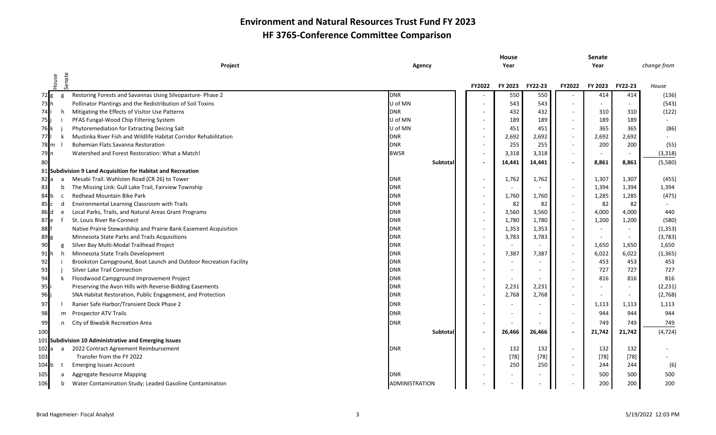|                       |                                                                   |                |                          | House   |         |                          | Senate  |         |             |
|-----------------------|-------------------------------------------------------------------|----------------|--------------------------|---------|---------|--------------------------|---------|---------|-------------|
|                       | Project                                                           | Agency         |                          | Year    |         |                          | Year    |         | change from |
| Senate<br>House       |                                                                   |                | FY2022                   | FY 2023 | FY22-23 | <b>FY2022</b>            | FY 2023 | FY22-23 | House       |
| $72$ g<br>g           | Restoring Forests and Savannas Using Silvopasture- Phase 2        | <b>DNR</b>     |                          | 550     | 550     |                          | 414     | 414     | (136)       |
| $73$ h                | Pollinator Plantings and the Redistribution of Soil Toxins        | U of MN        | $\overline{\phantom{a}}$ | 543     | 543     |                          |         | $\sim$  | (543)       |
| 74 <sub>i</sub><br>h. | Mitigating the Effects of Visitor Use Patterns                    | <b>DNR</b>     | $\overline{\phantom{a}}$ | 432     | 432     |                          | 310     | 310     | (122)       |
| 75                    | PFAS Fungal-Wood Chip Filtering System                            | U of MN        | $\overline{\phantom{a}}$ | 189     | 189     | $\sim$                   | 189     | 189     |             |
| 76 k                  | Phytoremediation for Extracting Deicing Salt                      | U of MN        | $\overline{\phantom{a}}$ | 451     | 451     |                          | 365     | 365     | (86)        |
| 77 <sub>1</sub><br>k  | Mustinka River Fish and Wildlife Habitat Corridor Rehabilitation  | <b>DNR</b>     | $\overline{\phantom{a}}$ | 2,692   | 2,692   |                          | 2,692   | 2,692   |             |
| 78 m                  | Bohemian Flats Savanna Restoration                                | <b>DNR</b>     | $\overline{\phantom{a}}$ | 255     | 255     |                          | 200     | 200     | (55)        |
| 79 <sub>n</sub>       | Watershed and Forest Restoration: What a Match!                   | <b>BWSR</b>    | $\sim$                   | 3,318   | 3,318   | $\overline{\phantom{a}}$ | $\sim$  | $\sim$  | (3, 318)    |
| 80                    |                                                                   | Subtotal       | $\overline{\phantom{a}}$ | 14,441  | 14,441  | $\overline{\phantom{a}}$ | 8,861   | 8,861   | (5,580)     |
|                       | 81 Subdivision 9 Land Acquisition for Habitat and Recreation      |                |                          |         |         |                          |         |         |             |
| 82 a<br>a             | Mesabi Trail: Wahlsten Road (CR 26) to Tower                      | <b>DNR</b>     | $\overline{\phantom{a}}$ | 1,762   | 1,762   | $\sim$                   | 1,307   | 1,307   | (455)       |
| 83<br>b               | The Missing Link: Gull Lake Trail, Fairview Township              | <b>DNR</b>     | $\overline{\phantom{a}}$ |         |         |                          | 1,394   | 1,394   | 1,394       |
| 84 b<br><b>C</b>      | Redhead Mountain Bike Park                                        | <b>DNR</b>     |                          | 1,760   | 1,760   |                          | 1,285   | 1,285   | (475)       |
| 85c<br>d              | Environmental Learning Classroom with Trails                      | <b>DNR</b>     | $\overline{\phantom{a}}$ | 82      | 82      |                          | 82      | 82      |             |
| 86 <sub>Id</sub><br>e | Local Parks, Trails, and Natural Areas Grant Programs             | <b>DNR</b>     | $\overline{\phantom{a}}$ | 3,560   | 3,560   |                          | 4,000   | 4,000   | 440         |
| 87 e                  | St. Louis River Re-Connect                                        | <b>DNR</b>     | $\overline{\phantom{a}}$ | 1,780   | 1,780   |                          | 1,200   | 1,200   | (580)       |
| 88                    | Native Prairie Stewardship and Prairie Bank Easement Acquisition  | <b>DNR</b>     | $\overline{\phantom{a}}$ | 1,353   | 1,353   | $\sim$                   | $\sim$  | $\sim$  | (1, 353)    |
| 89g                   | Minnesota State Parks and Trails Acquisitions                     | <b>DNR</b>     | $\overline{\phantom{a}}$ | 3,783   | 3,783   | $\sim$                   | $\sim$  | $\sim$  | (3, 783)    |
| 90<br>g               | Silver Bay Multi-Modal Trailhead Project                          | <b>DNR</b>     | $\overline{\phantom{a}}$ |         |         | $\overline{\phantom{a}}$ | 1,650   | 1,650   | 1,650       |
| 91h                   | h Minnesota State Trails Development                              | <b>DNR</b>     | $\overline{\phantom{a}}$ | 7,387   | 7,387   |                          | 6,022   | 6,022   | (1, 365)    |
| 92                    | Brookston Campground, Boat Launch and Outdoor Recreation Facility | <b>DNR</b>     | $\overline{\phantom{a}}$ |         |         |                          | 453     | 453     | 453         |
| 93                    | <b>Silver Lake Trail Connection</b>                               | <b>DNR</b>     | $\overline{\phantom{a}}$ |         |         |                          | 727     | 727     | 727         |
| 94                    | Floodwood Campground Improvement Project                          | <b>DNR</b>     | $\overline{\phantom{a}}$ |         |         |                          | 816     | 816     | 816         |
| 95                    | Preserving the Avon Hills with Reverse-Bidding Easements          | <b>DNR</b>     | $\overline{\phantom{a}}$ | 2,231   | 2,231   |                          |         | $\sim$  | (2, 231)    |
| 96                    | SNA Habitat Restoration, Public Engagement, and Protection        | <b>DNR</b>     | $\overline{\phantom{a}}$ | 2,768   | 2,768   | $\overline{\phantom{a}}$ |         | $\sim$  | (2,768)     |
| 97                    | Ranier Safe Harbor/Transient Dock Phase 2                         | <b>DNR</b>     | $\overline{\phantom{a}}$ |         |         |                          | 1,113   | 1,113   | 1,113       |
| 98                    | m Prospector ATV Trails                                           | <b>DNR</b>     |                          |         |         |                          | 944     | 944     | 944         |
| 99<br>n               | City of Biwabik Recreation Area                                   | <b>DNR</b>     | $\overline{\phantom{a}}$ |         |         |                          | 749     | 749     | 749         |
| 100                   |                                                                   | Subtota        | $\overline{\phantom{a}}$ | 26,466  | 26,466  |                          | 21,742  | 21,742  | (4, 724)    |
|                       | 101 Subdivision 10 Administrative and Emerging Issues             |                |                          |         |         |                          |         |         |             |
| 102a                  | a 2022 Contract Agreement Reimbursement                           | <b>DNR</b>     | $\overline{\phantom{a}}$ | 132     | 132     |                          | 132     | 132     |             |
| 103                   | Transfer from the FY 2022                                         |                | $\overline{\phantom{a}}$ | $[78]$  | $[78]$  | $\overline{\phantom{a}}$ | $[78]$  | $[78]$  |             |
| 104 b<br>t            | <b>Emerging Issues Account</b>                                    |                | $\overline{\phantom{a}}$ | 250     | 250     | $\sim$                   | 244     | 244     | (6)         |
| 105<br>a              | <b>Aggregate Resource Mapping</b>                                 | DNR            |                          |         |         |                          | 500     | 500     | 500         |
| 106<br>b              | Water Contamination Study; Leaded Gasoline Contamination          | ADMINISTRATION |                          |         |         |                          | 200     | 200     | 200         |
|                       |                                                                   |                |                          |         |         |                          |         |         |             |